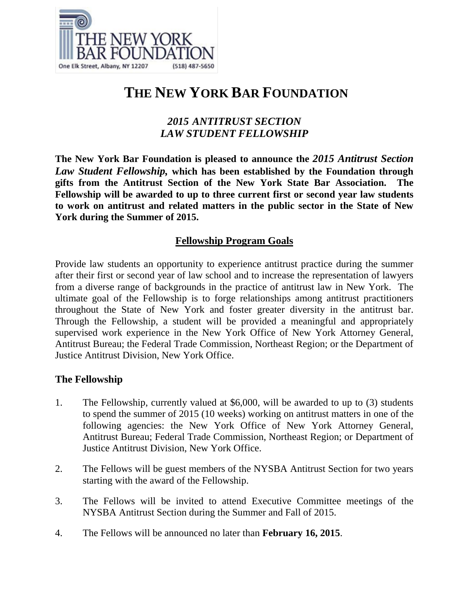

# **THE NEW YORK BAR FOUNDATION**

# *2015 ANTITRUST SECTION LAW STUDENT FELLOWSHIP*

**The New York Bar Foundation is pleased to announce the** *2015 Antitrust Section Law Student Fellowship,* **which has been established by the Foundation through gifts from the Antitrust Section of the New York State Bar Association. The Fellowship will be awarded to up to three current first or second year law students to work on antitrust and related matters in the public sector in the State of New York during the Summer of 2015.**

# **Fellowship Program Goals**

Provide law students an opportunity to experience antitrust practice during the summer after their first or second year of law school and to increase the representation of lawyers from a diverse range of backgrounds in the practice of antitrust law in New York. The ultimate goal of the Fellowship is to forge relationships among antitrust practitioners throughout the State of New York and foster greater diversity in the antitrust bar. Through the Fellowship, a student will be provided a meaningful and appropriately supervised work experience in the New York Office of New York Attorney General, Antitrust Bureau; the Federal Trade Commission, Northeast Region; or the Department of Justice Antitrust Division, New York Office.

# **The Fellowship**

- 1. The Fellowship, currently valued at \$6,000, will be awarded to up to (3) students to spend the summer of 2015 (10 weeks) working on antitrust matters in one of the following agencies: the New York Office of New York Attorney General, Antitrust Bureau; Federal Trade Commission, Northeast Region; or Department of Justice Antitrust Division, New York Office.
- 2. The Fellows will be guest members of the NYSBA Antitrust Section for two years starting with the award of the Fellowship.
- 3. The Fellows will be invited to attend Executive Committee meetings of the NYSBA Antitrust Section during the Summer and Fall of 2015.
- 4. The Fellows will be announced no later than **February 16, 2015**.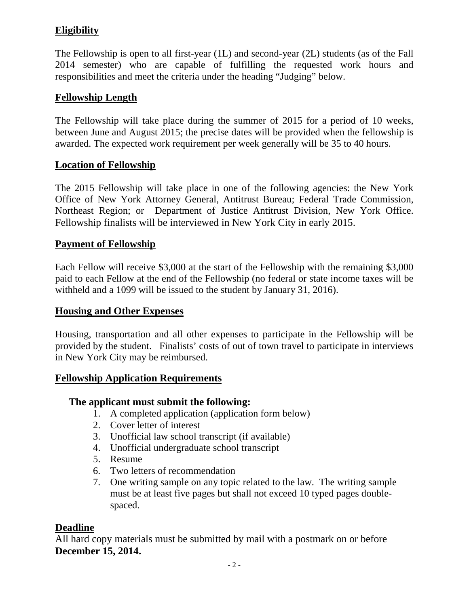# **Eligibility**

The Fellowship is open to all first-year (1L) and second-year (2L) students (as of the Fall 2014 semester) who are capable of fulfilling the requested work hours and responsibilities and meet the criteria under the heading "Judging" below.

# **Fellowship Length**

The Fellowship will take place during the summer of 2015 for a period of 10 weeks, between June and August 2015; the precise dates will be provided when the fellowship is awarded. The expected work requirement per week generally will be 35 to 40 hours.

#### **Location of Fellowship**

The 2015 Fellowship will take place in one of the following agencies: the New York Office of New York Attorney General, Antitrust Bureau; Federal Trade Commission, Northeast Region; or Department of Justice Antitrust Division, New York Office. Fellowship finalists will be interviewed in New York City in early 2015.

# **Payment of Fellowship**

Each Fellow will receive \$3,000 at the start of the Fellowship with the remaining \$3,000 paid to each Fellow at the end of the Fellowship (no federal or state income taxes will be withheld and a 1099 will be issued to the student by January 31, 2016).

#### **Housing and Other Expenses**

Housing, transportation and all other expenses to participate in the Fellowship will be provided by the student. Finalists' costs of out of town travel to participate in interviews in New York City may be reimbursed.

#### **Fellowship Application Requirements**

# **The applicant must submit the following:**

- 1. A completed application (application form below)
- 2. Cover letter of interest
- 3. Unofficial law school transcript (if available)
- 4. Unofficial undergraduate school transcript
- 5. Resume
- 6. Two letters of recommendation
- 7. One writing sample on any topic related to the law. The writing sample must be at least five pages but shall not exceed 10 typed pages doublespaced.

# **Deadline**

All hard copy materials must be submitted by mail with a postmark on or before **December 15, 2014.**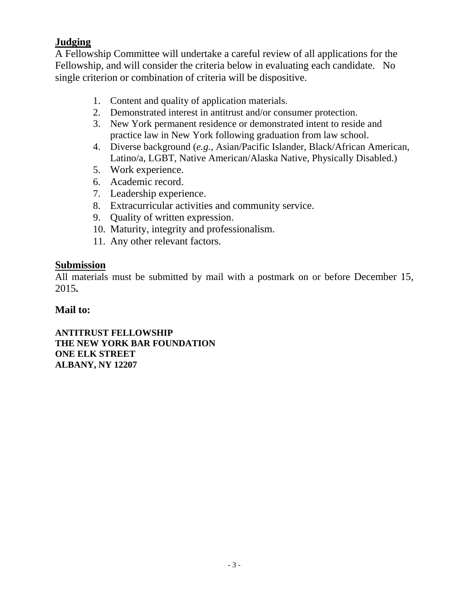# **Judging**

A Fellowship Committee will undertake a careful review of all applications for the Fellowship, and will consider the criteria below in evaluating each candidate. No single criterion or combination of criteria will be dispositive.

- 1. Content and quality of application materials.
- 2. Demonstrated interest in antitrust and/or consumer protection.
- 3. New York permanent residence or demonstrated intent to reside and practice law in New York following graduation from law school.
- 4. Diverse background (*e.g.*, Asian/Pacific Islander, Black/African American, Latino/a, LGBT, Native American/Alaska Native, Physically Disabled.)
- 5. Work experience.
- 6. Academic record.
- 7. Leadership experience.
- 8. Extracurricular activities and community service.
- 9. Quality of written expression.
- 10. Maturity, integrity and professionalism.
- 11. Any other relevant factors.

# **Submission**

All materials must be submitted by mail with a postmark on or before December 15, 2015**.**

# **Mail to:**

**ANTITRUST FELLOWSHIP THE NEW YORK BAR FOUNDATION ONE ELK STREET ALBANY, NY 12207**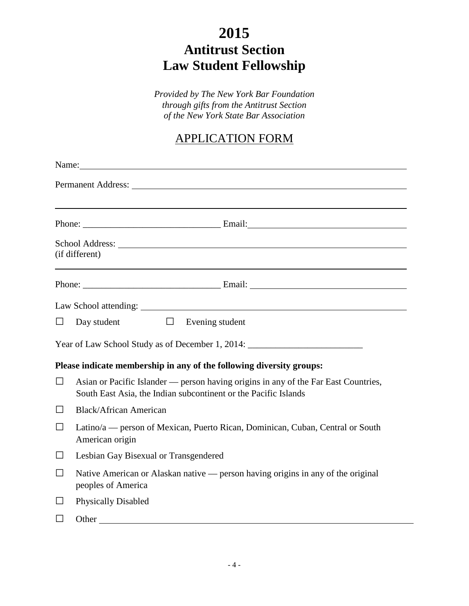# **2015 Antitrust Section Law Student Fellowship**

*Provided by The New York Bar Foundation through gifts from the Antitrust Section of the New York State Bar Association*

# APPLICATION FORM

|        | Name: Name and the set of the set of the set of the set of the set of the set of the set of the set of the set of the set of the set of the set of the set of the set of the set of the set of the set of the set of the set o      |  |  |  |  |
|--------|-------------------------------------------------------------------------------------------------------------------------------------------------------------------------------------------------------------------------------------|--|--|--|--|
|        |                                                                                                                                                                                                                                     |  |  |  |  |
|        |                                                                                                                                                                                                                                     |  |  |  |  |
|        |                                                                                                                                                                                                                                     |  |  |  |  |
|        | School Address: New York Contract to the School Address:<br>(if different)                                                                                                                                                          |  |  |  |  |
|        |                                                                                                                                                                                                                                     |  |  |  |  |
|        |                                                                                                                                                                                                                                     |  |  |  |  |
| $\Box$ | $\Box$ Evening student<br>Day student                                                                                                                                                                                               |  |  |  |  |
|        | Year of Law School Study as of December 1, 2014: ________________________________                                                                                                                                                   |  |  |  |  |
|        | Please indicate membership in any of the following diversity groups:                                                                                                                                                                |  |  |  |  |
| $\Box$ | Asian or Pacific Islander — person having origins in any of the Far East Countries,<br>South East Asia, the Indian subcontinent or the Pacific Islands                                                                              |  |  |  |  |
| $\Box$ | <b>Black/African American</b>                                                                                                                                                                                                       |  |  |  |  |
| $\Box$ | Latino/a — person of Mexican, Puerto Rican, Dominican, Cuban, Central or South<br>American origin                                                                                                                                   |  |  |  |  |
| $\Box$ | Lesbian Gay Bisexual or Transgendered                                                                                                                                                                                               |  |  |  |  |
| $\Box$ | Native American or Alaskan native — person having origins in any of the original<br>peoples of America                                                                                                                              |  |  |  |  |
| □      | <b>Physically Disabled</b>                                                                                                                                                                                                          |  |  |  |  |
| □      | <b>Other</b> contains the contact of the contact of the contact of the contact of the contact of the contact of the contact of the contact of the contact of the contact of the contact of the contact of the contact of the contac |  |  |  |  |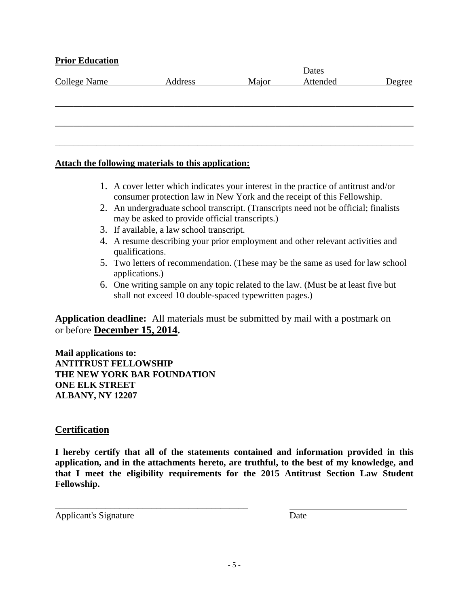#### **Prior Education**

| <b>College Name</b> | Address | Major | Attended | Degree |
|---------------------|---------|-------|----------|--------|
|                     |         |       |          |        |
|                     |         |       |          |        |
|                     |         |       |          |        |
|                     |         |       |          |        |
|                     |         |       |          |        |
|                     |         |       |          |        |

#### **Attach the following materials to this application:**

- 1. A cover letter which indicates your interest in the practice of antitrust and/or consumer protection law in New York and the receipt of this Fellowship.
- 2. An undergraduate school transcript. (Transcripts need not be official; finalists may be asked to provide official transcripts.)
- 3. If available, a law school transcript.
- 4. A resume describing your prior employment and other relevant activities and qualifications.
- 5. Two letters of recommendation. (These may be the same as used for law school applications.)
- 6. One writing sample on any topic related to the law. (Must be at least five but shall not exceed 10 double-spaced typewritten pages.)

**Application deadline:** All materials must be submitted by mail with a postmark on or before **December 15, 2014.**

**Mail applications to: ANTITRUST FELLOWSHIP THE NEW YORK BAR FOUNDATION ONE ELK STREET ALBANY, NY 12207**

\_\_\_\_\_\_\_\_\_\_\_\_\_\_\_\_\_\_\_\_\_\_\_\_\_\_\_\_\_\_\_\_\_\_\_\_\_\_\_\_\_\_

#### **Certification**

**I hereby certify that all of the statements contained and information provided in this application, and in the attachments hereto, are truthful, to the best of my knowledge, and that I meet the eligibility requirements for the 2015 Antitrust Section Law Student Fellowship.**

Applicant's Signature Date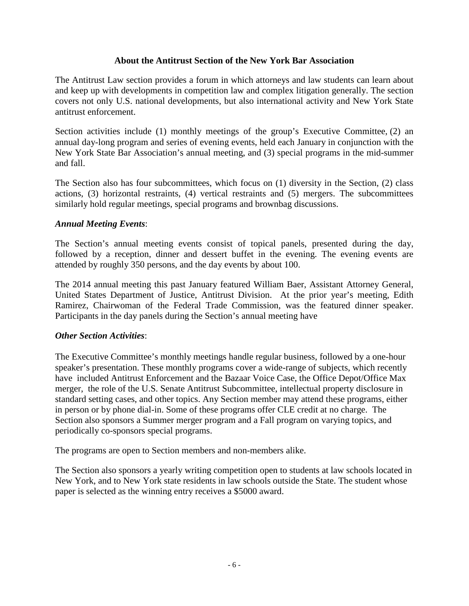#### **About the Antitrust Section of the New York Bar Association**

The Antitrust Law section provides a forum in which attorneys and law students can learn about and keep up with developments in competition law and complex litigation generally. The section covers not only U.S. national developments, but also international activity and New York State antitrust enforcement.

Section activities include (1) monthly meetings of the group's Executive Committee, (2) an annual day-long program and series of evening events, held each January in conjunction with the New York State Bar Association's annual meeting, and (3) special programs in the mid-summer and fall.

The Section also has four subcommittees, which focus on (1) diversity in the Section, (2) class actions, (3) horizontal restraints, (4) vertical restraints and (5) mergers. The subcommittees similarly hold regular meetings, special programs and brownbag discussions.

#### *Annual Meeting Events*:

The Section's annual meeting events consist of topical panels, presented during the day, followed by a reception, dinner and dessert buffet in the evening. The evening events are attended by roughly 350 persons, and the day events by about 100.

The 2014 annual meeting this past January featured William Baer, Assistant Attorney General, United States Department of Justice, Antitrust Division. At the prior year's meeting, Edith Ramirez, Chairwoman of the Federal Trade Commission, was the featured dinner speaker. Participants in the day panels during the Section's annual meeting have

#### *Other Section Activities*:

The Executive Committee's monthly meetings handle regular business, followed by a one-hour speaker's presentation. These monthly programs cover a wide-range of subjects, which recently have included Antitrust Enforcement and the Bazaar Voice Case, the Office Depot/Office Max merger, the role of the U.S. Senate Antitrust Subcommittee, intellectual property disclosure in standard setting cases, and other topics. Any Section member may attend these programs, either in person or by phone dial-in. Some of these programs offer CLE credit at no charge. The Section also sponsors a Summer merger program and a Fall program on varying topics, and periodically co-sponsors special programs.

The programs are open to Section members and non-members alike.

The Section also sponsors a yearly writing competition open to students at law schools located in New York, and to New York state residents in law schools outside the State. The student whose paper is selected as the winning entry receives a \$5000 award.